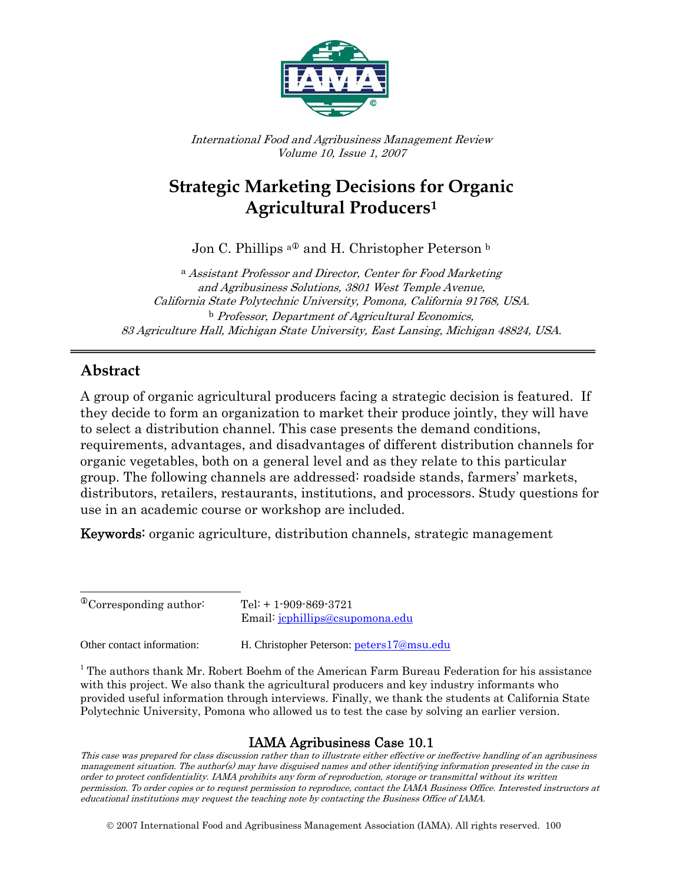

International Food and Agribusiness Management Review Volume 10, Issue 1, 2007

# **Strategic Marketing Decisions for Organic Agricultural Producers[1](#page-0-0)**

Jon C. Phillips <sup>a $\Phi$ </sup> and H. Christopher Peterson  $\Phi$ 

<sup>a</sup> Assistant Professor and Director, Center for Food Marketing and Agribusiness Solutions, 3801 West Temple Avenue, California State Polytechnic University, Pomona, California 91768, USA. b Professor, Department of Agricultural Economics, 83 Agriculture Hall, Michigan State University, East Lansing, Michigan 48824, USA.

### **Abstract**

 $\overline{\phantom{a}}$ 

A group of organic agricultural producers facing a strategic decision is featured. If they decide to form an organization to market their produce jointly, they will have to select a distribution channel. This case presents the demand conditions, requirements, advantages, and disadvantages of different distribution channels for organic vegetables, both on a general level and as they relate to this particular group. The following channels are addressed: roadside stands, farmers' markets, distributors, retailers, restaurants, institutions, and processors. Study questions for use in an academic course or workshop are included.

Keywords: organic agriculture, distribution channels, strategic management

Other contact information: H. Christopher Peterson: [peters17@msu.edu](mailto:peters17@msu.edu)

<sup>1</sup> The authors thank Mr. Robert Boehm of the American Farm Bureau Federation for his assistance with this project. We also thank the agricultural producers and key industry informants who provided useful information through interviews. Finally, we thank the students at California State Polytechnic University, Pomona who allowed us to test the case by solving an earlier version.

### IAMA Agribusiness Case 10.1

This case was prepared for class discussion rather than to illustrate either effective or ineffective handling of an agribusiness management situation. The author(s) may have disguised names and other identifying information presented in the case in order to protect confidentiality. IAMA prohibits any form of reproduction, storage or transmittal without its written permission. To order copies or to request permission to reproduce, contact the IAMA Business Office. Interested instructors at educational institutions may request the teaching note by contacting the Business Office of IAMA.

© 2007 International Food and Agribusiness Management Association (IAMA). All rights reserved. 100

<span id="page-0-0"></span> $^{\circ}$ Corresponding author: Tel: + 1-909-869-3721 Email: [jcphillips@csupomona.edu](mailto:jcphillips@csupomona.edu)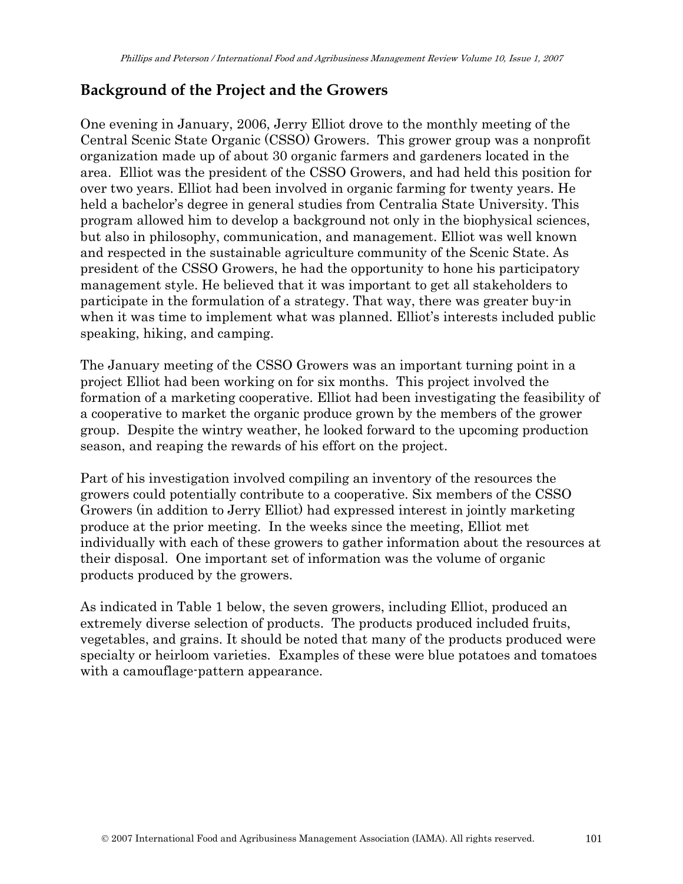# **Background of the Project and the Growers**

One evening in January, 2006, Jerry Elliot drove to the monthly meeting of the Central Scenic State Organic (CSSO) Growers. This grower group was a nonprofit organization made up of about 30 organic farmers and gardeners located in the area. Elliot was the president of the CSSO Growers, and had held this position for over two years. Elliot had been involved in organic farming for twenty years. He held a bachelor's degree in general studies from Centralia State University. This program allowed him to develop a background not only in the biophysical sciences, but also in philosophy, communication, and management. Elliot was well known and respected in the sustainable agriculture community of the Scenic State. As president of the CSSO Growers, he had the opportunity to hone his participatory management style. He believed that it was important to get all stakeholders to participate in the formulation of a strategy. That way, there was greater buy-in when it was time to implement what was planned. Elliot's interests included public speaking, hiking, and camping.

The January meeting of the CSSO Growers was an important turning point in a project Elliot had been working on for six months. This project involved the formation of a marketing cooperative. Elliot had been investigating the feasibility of a cooperative to market the organic produce grown by the members of the grower group. Despite the wintry weather, he looked forward to the upcoming production season, and reaping the rewards of his effort on the project.

Part of his investigation involved compiling an inventory of the resources the growers could potentially contribute to a cooperative. Six members of the CSSO Growers (in addition to Jerry Elliot) had expressed interest in jointly marketing produce at the prior meeting. In the weeks since the meeting, Elliot met individually with each of these growers to gather information about the resources at their disposal. One important set of information was the volume of organic products produced by the growers.

As indicated in Table 1 below, the seven growers, including Elliot, produced an extremely diverse selection of products. The products produced included fruits, vegetables, and grains. It should be noted that many of the products produced were specialty or heirloom varieties. Examples of these were blue potatoes and tomatoes with a camouflage-pattern appearance.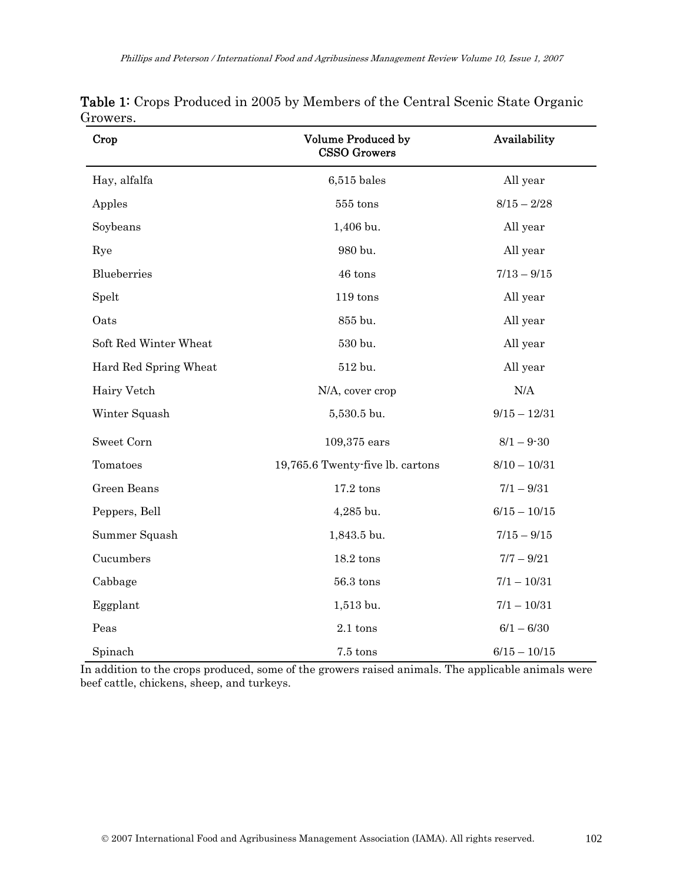| Crop                  | Volume Produced by<br><b>CSSO Growers</b> | Availability   |  |  |
|-----------------------|-------------------------------------------|----------------|--|--|
| Hay, alfalfa          | $6,515$ bales                             | All year       |  |  |
| Apples                | $555$ tons                                | $8/15 - 2/28$  |  |  |
| Soybeans              | 1,406 bu.                                 | All year       |  |  |
| Rye                   | 980 bu.                                   | All year       |  |  |
| Blueberries           | 46 tons                                   | $7/13 - 9/15$  |  |  |
| Spelt                 | $119$ tons                                | All year       |  |  |
| Oats                  | 855 bu.                                   | All year       |  |  |
| Soft Red Winter Wheat | 530 bu.                                   | All year       |  |  |
| Hard Red Spring Wheat | 512 bu.                                   | All year       |  |  |
| Hairy Vetch           | N/A, cover crop                           | N/A            |  |  |
| Winter Squash         | 5,530.5 bu.                               | $9/15 - 12/31$ |  |  |
| Sweet Corn            | 109,375 ears                              | $8/1 - 9 - 30$ |  |  |
| Tomatoes              | 19,765.6 Twenty-five lb. cartons          | $8/10 - 10/31$ |  |  |
| Green Beans           | $17.2$ tons                               | $7/1 - 9/31$   |  |  |
| Peppers, Bell         | $4,285$ bu.                               | $6/15 - 10/15$ |  |  |
| Summer Squash         | 1,843.5 bu.                               | $7/15 - 9/15$  |  |  |
| Cucumbers             | $18.2 \text{ tons}$                       | $7/7 - 9/21$   |  |  |
| Cabbage               | $56.3$ tons                               | $7/1 - 10/31$  |  |  |
| Eggplant              | 1,513 bu.                                 | $7/1 - 10/31$  |  |  |
| Peas                  | 2.1 tons                                  | $6/1 - 6/30$   |  |  |
| Spinach               | 7.5 tons                                  | $6/15 - 10/15$ |  |  |

| <b>Table 1:</b> Crops Produced in 2005 by Members of the Central Scenic State Organic |  |  |  |  |
|---------------------------------------------------------------------------------------|--|--|--|--|
| Growers.                                                                              |  |  |  |  |

In addition to the crops produced, some of the growers raised animals. The applicable animals were beef cattle, chickens, sheep, and turkeys.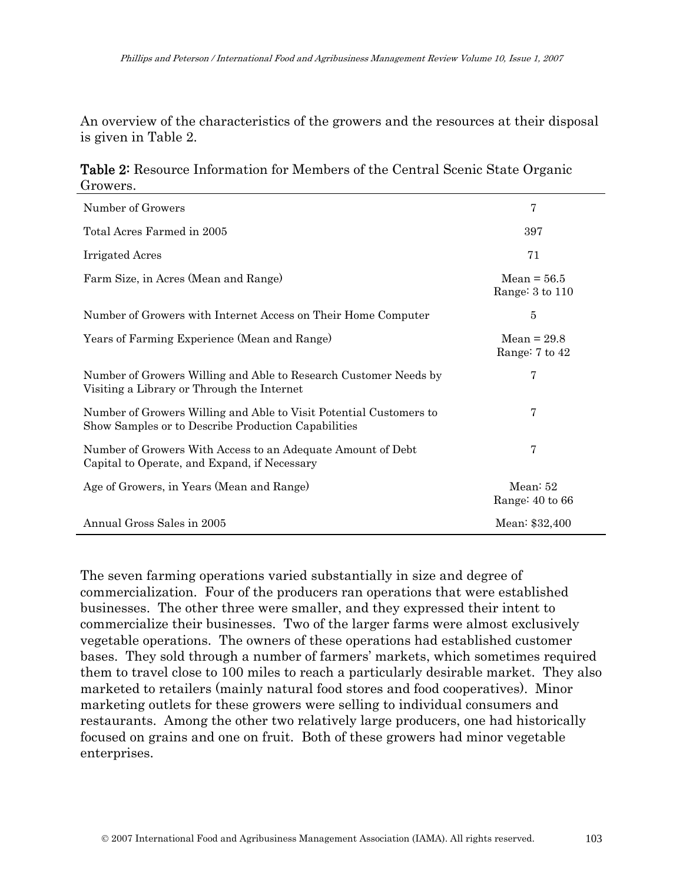An overview of the characteristics of the growers and the resources at their disposal is given in Table 2.

Table 2: Resource Information for Members of the Central Scenic State Organic Growers.

| Number of Growers                                                                                                         | 7                                |
|---------------------------------------------------------------------------------------------------------------------------|----------------------------------|
| Total Acres Farmed in 2005                                                                                                | 397                              |
| <b>Irrigated Acres</b>                                                                                                    | 71                               |
| Farm Size, in Acres (Mean and Range)                                                                                      | $Mean = 56.5$<br>Range: 3 to 110 |
| Number of Growers with Internet Access on Their Home Computer                                                             | $\bf 5$                          |
| Years of Farming Experience (Mean and Range)                                                                              | $Mean = 29.8$<br>Range: 7 to 42  |
| Number of Growers Willing and Able to Research Customer Needs by<br>Visiting a Library or Through the Internet            | 7                                |
| Number of Growers Willing and Able to Visit Potential Customers to<br>Show Samples or to Describe Production Capabilities | 7                                |
| Number of Growers With Access to an Adequate Amount of Debt<br>Capital to Operate, and Expand, if Necessary               | 7                                |
| Age of Growers, in Years (Mean and Range)                                                                                 | Mean: $52$<br>Range: 40 to 66    |
| Annual Gross Sales in 2005                                                                                                | Mean: \$32,400                   |

The seven farming operations varied substantially in size and degree of commercialization. Four of the producers ran operations that were established businesses. The other three were smaller, and they expressed their intent to commercialize their businesses. Two of the larger farms were almost exclusively vegetable operations. The owners of these operations had established customer bases. They sold through a number of farmers' markets, which sometimes required them to travel close to 100 miles to reach a particularly desirable market. They also marketed to retailers (mainly natural food stores and food cooperatives). Minor marketing outlets for these growers were selling to individual consumers and restaurants. Among the other two relatively large producers, one had historically focused on grains and one on fruit. Both of these growers had minor vegetable enterprises.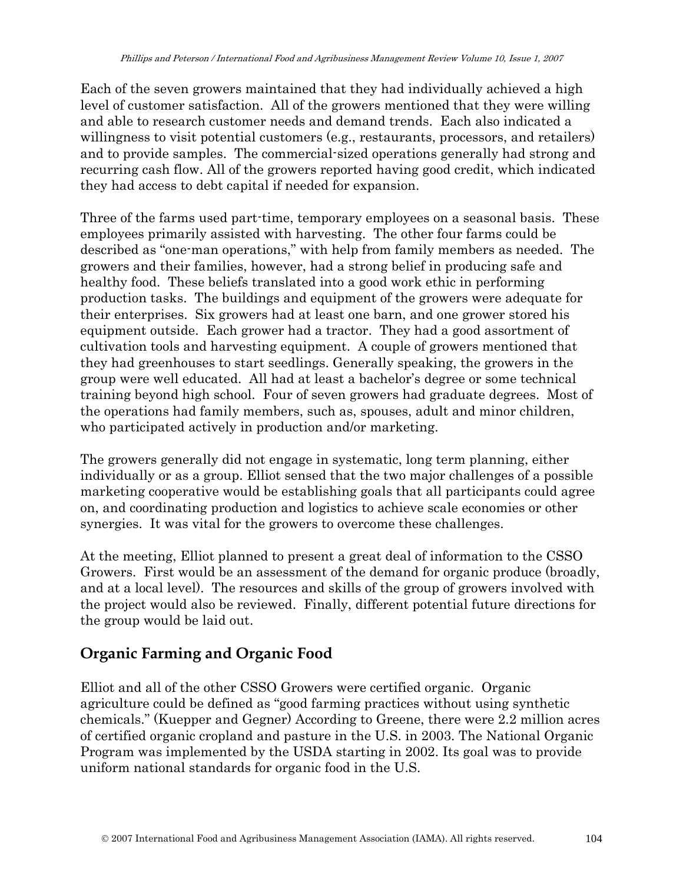Each of the seven growers maintained that they had individually achieved a high level of customer satisfaction. All of the growers mentioned that they were willing and able to research customer needs and demand trends. Each also indicated a willingness to visit potential customers (e.g., restaurants, processors, and retailers) and to provide samples. The commercial-sized operations generally had strong and recurring cash flow. All of the growers reported having good credit, which indicated they had access to debt capital if needed for expansion.

Three of the farms used part-time, temporary employees on a seasonal basis. These employees primarily assisted with harvesting. The other four farms could be described as "one-man operations," with help from family members as needed. The growers and their families, however, had a strong belief in producing safe and healthy food. These beliefs translated into a good work ethic in performing production tasks. The buildings and equipment of the growers were adequate for their enterprises. Six growers had at least one barn, and one grower stored his equipment outside. Each grower had a tractor. They had a good assortment of cultivation tools and harvesting equipment. A couple of growers mentioned that they had greenhouses to start seedlings. Generally speaking, the growers in the group were well educated. All had at least a bachelor's degree or some technical training beyond high school. Four of seven growers had graduate degrees. Most of the operations had family members, such as, spouses, adult and minor children, who participated actively in production and/or marketing.

The growers generally did not engage in systematic, long term planning, either individually or as a group. Elliot sensed that the two major challenges of a possible marketing cooperative would be establishing goals that all participants could agree on, and coordinating production and logistics to achieve scale economies or other synergies. It was vital for the growers to overcome these challenges.

At the meeting, Elliot planned to present a great deal of information to the CSSO Growers. First would be an assessment of the demand for organic produce (broadly, and at a local level). The resources and skills of the group of growers involved with the project would also be reviewed. Finally, different potential future directions for the group would be laid out.

# **Organic Farming and Organic Food**

Elliot and all of the other CSSO Growers were certified organic. Organic agriculture could be defined as "good farming practices without using synthetic chemicals." (Kuepper and Gegner) According to Greene, there were 2.2 million acres of certified organic cropland and pasture in the U.S. in 2003. The National Organic Program was implemented by the USDA starting in 2002. Its goal was to provide uniform national standards for organic food in the U.S.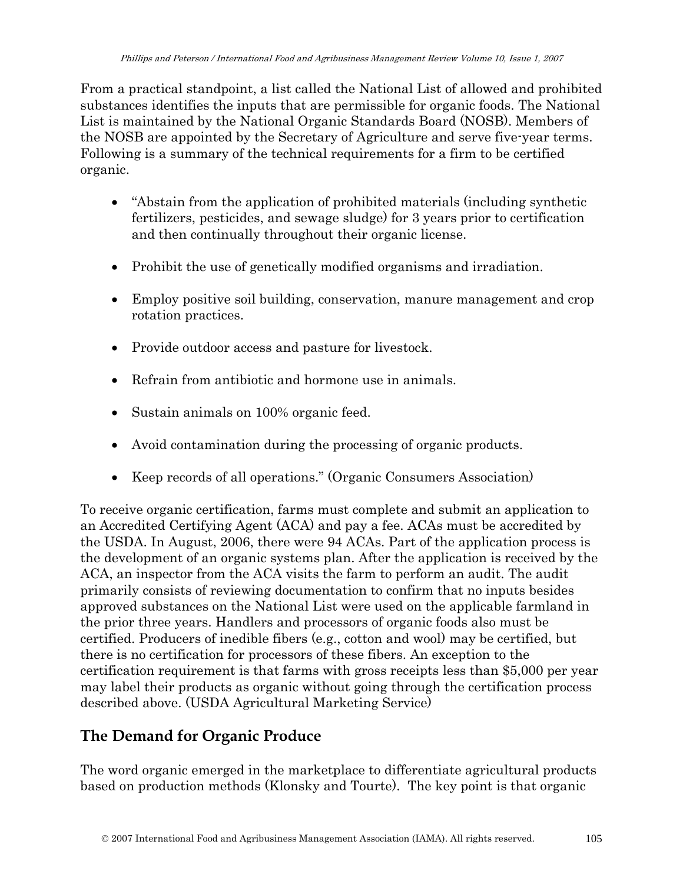From a practical standpoint, a list called the National List of allowed and prohibited substances identifies the inputs that are permissible for organic foods. The National List is maintained by the National Organic Standards Board (NOSB). Members of the NOSB are appointed by the Secretary of Agriculture and serve five-year terms. Following is a summary of the technical requirements for a firm to be certified organic.

- "Abstain from the application of prohibited materials (including synthetic fertilizers, pesticides, and sewage sludge) for 3 years prior to certification and then continually throughout their organic license.
- Prohibit the use of genetically modified organisms and irradiation.
- Employ positive soil building, conservation, manure management and crop rotation practices.
- Provide outdoor access and pasture for livestock.
- Refrain from antibiotic and hormone use in animals.
- Sustain animals on 100% organic feed.
- Avoid contamination during the processing of organic products.
- Keep records of all operations." (Organic Consumers Association)

To receive organic certification, farms must complete and submit an application to an Accredited Certifying Agent (ACA) and pay a fee. ACAs must be accredited by the USDA. In August, 2006, there were 94 ACAs. Part of the application process is the development of an organic systems plan. After the application is received by the ACA, an inspector from the ACA visits the farm to perform an audit. The audit primarily consists of reviewing documentation to confirm that no inputs besides approved substances on the National List were used on the applicable farmland in the prior three years. Handlers and processors of organic foods also must be certified. Producers of inedible fibers (e.g., cotton and wool) may be certified, but there is no certification for processors of these fibers. An exception to the certification requirement is that farms with gross receipts less than \$5,000 per year may label their products as organic without going through the certification process described above. (USDA Agricultural Marketing Service)

# **The Demand for Organic Produce**

The word organic emerged in the marketplace to differentiate agricultural products based on production methods (Klonsky and Tourte). The key point is that organic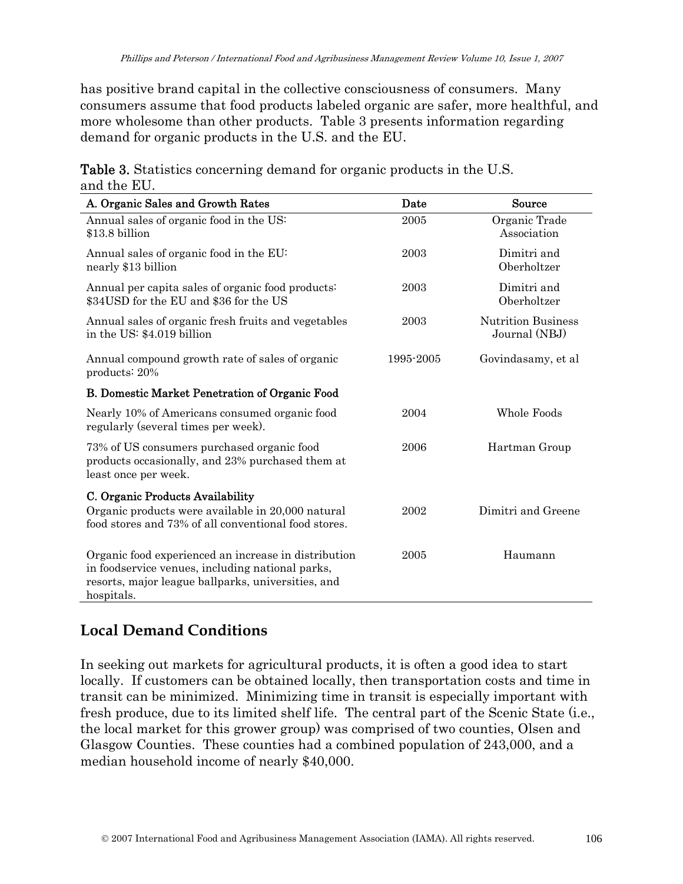has positive brand capital in the collective consciousness of consumers. Many consumers assume that food products labeled organic are safer, more healthful, and more wholesome than other products. Table 3 presents information regarding demand for organic products in the U.S. and the EU.

| A. Organic Sales and Growth Rates                                                                                                                                            | Date      | Source                                     |
|------------------------------------------------------------------------------------------------------------------------------------------------------------------------------|-----------|--------------------------------------------|
| Annual sales of organic food in the US:<br>\$13.8 billion                                                                                                                    | 2005      | Organic Trade<br>Association               |
| Annual sales of organic food in the EU:<br>nearly \$13 billion                                                                                                               | 2003      | Dimitri and<br>Oberholtzer                 |
| Annual per capita sales of organic food products:<br>\$34USD for the EU and \$36 for the US                                                                                  | 2003      | Dimitri and<br>Oberholtzer                 |
| Annual sales of organic fresh fruits and vegetables<br>in the US: \$4.019 billion                                                                                            | 2003      | <b>Nutrition Business</b><br>Journal (NBJ) |
| Annual compound growth rate of sales of organic<br>products: 20%                                                                                                             | 1995-2005 | Govindasamy, et al                         |
| <b>B. Domestic Market Penetration of Organic Food</b>                                                                                                                        |           |                                            |
| Nearly 10% of Americans consumed organic food<br>regularly (several times per week).                                                                                         | 2004      | Whole Foods                                |
| 73% of US consumers purchased organic food<br>products occasionally, and 23% purchased them at<br>least once per week.                                                       | 2006      | Hartman Group                              |
| C. Organic Products Availability<br>Organic products were available in 20,000 natural<br>food stores and 73% of all conventional food stores.                                | 2002      | Dimitri and Greene                         |
| Organic food experienced an increase in distribution<br>in foodservice venues, including national parks,<br>resorts, major league ballparks, universities, and<br>hospitals. | 2005      | Haumann                                    |

Table 3. Statistics concerning demand for organic products in the U.S. and the EU.

# **Local Demand Conditions**

In seeking out markets for agricultural products, it is often a good idea to start locally. If customers can be obtained locally, then transportation costs and time in transit can be minimized. Minimizing time in transit is especially important with fresh produce, due to its limited shelf life. The central part of the Scenic State (i.e., the local market for this grower group) was comprised of two counties, Olsen and Glasgow Counties. These counties had a combined population of 243,000, and a median household income of nearly \$40,000.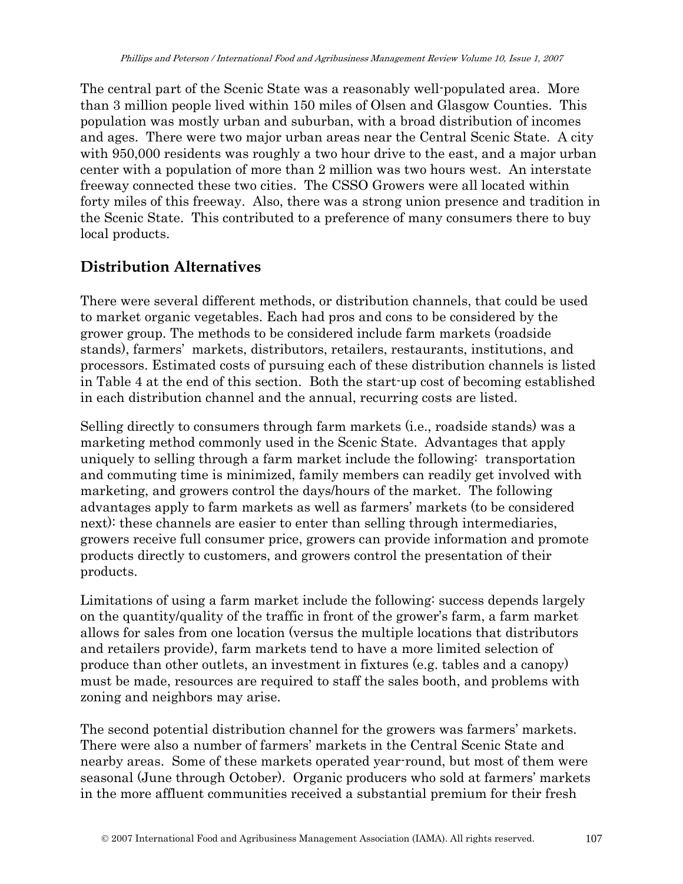The central part of the Scenic State was a reasonably well-populated area. More than 3 million people lived within 150 miles of Olsen and Glasgow Counties. This population was mostly urban and suburban, with a broad distribution of incomes and ages. There were two major urban areas near the Central Scenic State. A city with 950,000 residents was roughly a two hour drive to the east, and a major urban center with a population of more than 2 million was two hours west. An interstate freeway connected these two cities. The CSSO Growers were all located within forty miles of this freeway. Also, there was a strong union presence and tradition in the Scenic State. This contributed to a preference of many consumers there to buy local products.

# **Distribution Alternatives**

There were several different methods, or distribution channels, that could be used to market organic vegetables. Each had pros and cons to be considered by the grower group. The methods to be considered include farm markets (roadside stands), farmers' markets, distributors, retailers, restaurants, institutions, and processors. Estimated costs of pursuing each of these distribution channels is listed in Table 4 at the end of this section. Both the start-up cost of becoming established in each distribution channel and the annual, recurring costs are listed.

Selling directly to consumers through farm markets (i.e., roadside stands) was a marketing method commonly used in the Scenic State. Advantages that apply uniquely to selling through a farm market include the following: transportation and commuting time is minimized, family members can readily get involved with marketing, and growers control the days/hours of the market. The following advantages apply to farm markets as well as farmers' markets (to be considered next): these channels are easier to enter than selling through intermediaries, growers receive full consumer price, growers can provide information and promote products directly to customers, and growers control the presentation of their products.

Limitations of using a farm market include the following: success depends largely on the quantity/quality of the traffic in front of the grower's farm, a farm market allows for sales from one location (versus the multiple locations that distributors and retailers provide), farm markets tend to have a more limited selection of produce than other outlets, an investment in fixtures (e.g. tables and a canopy) must be made, resources are required to staff the sales booth, and problems with zoning and neighbors may arise.

The second potential distribution channel for the growers was farmers' markets. There were also a number of farmers' markets in the Central Scenic State and nearby areas. Some of these markets operated year-round, but most of them were seasonal (June through October). Organic producers who sold at farmers' markets in the more affluent communities received a substantial premium for their fresh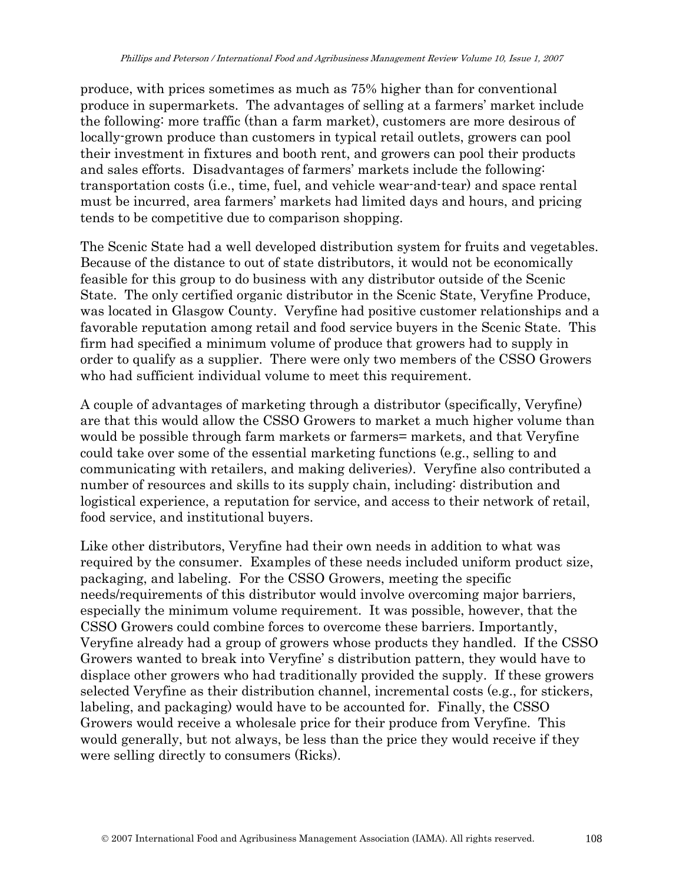produce, with prices sometimes as much as 75% higher than for conventional produce in supermarkets. The advantages of selling at a farmers' market include the following: more traffic (than a farm market), customers are more desirous of locally-grown produce than customers in typical retail outlets, growers can pool their investment in fixtures and booth rent, and growers can pool their products and sales efforts. Disadvantages of farmers' markets include the following: transportation costs (i.e., time, fuel, and vehicle wear-and-tear) and space rental must be incurred, area farmers' markets had limited days and hours, and pricing tends to be competitive due to comparison shopping.

The Scenic State had a well developed distribution system for fruits and vegetables. Because of the distance to out of state distributors, it would not be economically feasible for this group to do business with any distributor outside of the Scenic State. The only certified organic distributor in the Scenic State, Veryfine Produce, was located in Glasgow County. Veryfine had positive customer relationships and a favorable reputation among retail and food service buyers in the Scenic State. This firm had specified a minimum volume of produce that growers had to supply in order to qualify as a supplier. There were only two members of the CSSO Growers who had sufficient individual volume to meet this requirement.

A couple of advantages of marketing through a distributor (specifically, Veryfine) are that this would allow the CSSO Growers to market a much higher volume than would be possible through farm markets or farmers= markets, and that Veryfine could take over some of the essential marketing functions (e.g., selling to and communicating with retailers, and making deliveries). Veryfine also contributed a number of resources and skills to its supply chain, including: distribution and logistical experience, a reputation for service, and access to their network of retail, food service, and institutional buyers.

Like other distributors, Veryfine had their own needs in addition to what was required by the consumer. Examples of these needs included uniform product size, packaging, and labeling. For the CSSO Growers, meeting the specific needs/requirements of this distributor would involve overcoming major barriers, especially the minimum volume requirement. It was possible, however, that the CSSO Growers could combine forces to overcome these barriers. Importantly, Veryfine already had a group of growers whose products they handled. If the CSSO Growers wanted to break into Veryfine' s distribution pattern, they would have to displace other growers who had traditionally provided the supply. If these growers selected Veryfine as their distribution channel, incremental costs (e.g., for stickers, labeling, and packaging) would have to be accounted for. Finally, the CSSO Growers would receive a wholesale price for their produce from Veryfine. This would generally, but not always, be less than the price they would receive if they were selling directly to consumers (Ricks).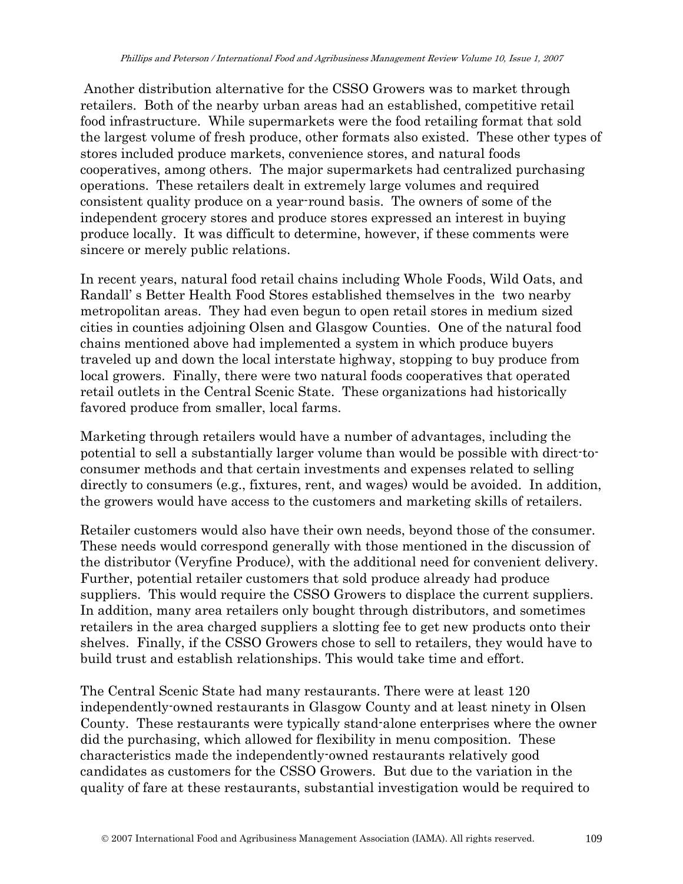Another distribution alternative for the CSSO Growers was to market through retailers. Both of the nearby urban areas had an established, competitive retail food infrastructure. While supermarkets were the food retailing format that sold the largest volume of fresh produce, other formats also existed. These other types of stores included produce markets, convenience stores, and natural foods cooperatives, among others. The major supermarkets had centralized purchasing operations. These retailers dealt in extremely large volumes and required consistent quality produce on a year-round basis. The owners of some of the independent grocery stores and produce stores expressed an interest in buying produce locally. It was difficult to determine, however, if these comments were sincere or merely public relations.

In recent years, natural food retail chains including Whole Foods, Wild Oats, and Randall' s Better Health Food Stores established themselves in the two nearby metropolitan areas. They had even begun to open retail stores in medium sized cities in counties adjoining Olsen and Glasgow Counties. One of the natural food chains mentioned above had implemented a system in which produce buyers traveled up and down the local interstate highway, stopping to buy produce from local growers. Finally, there were two natural foods cooperatives that operated retail outlets in the Central Scenic State. These organizations had historically favored produce from smaller, local farms.

Marketing through retailers would have a number of advantages, including the potential to sell a substantially larger volume than would be possible with direct-toconsumer methods and that certain investments and expenses related to selling directly to consumers (e.g., fixtures, rent, and wages) would be avoided. In addition, the growers would have access to the customers and marketing skills of retailers.

Retailer customers would also have their own needs, beyond those of the consumer. These needs would correspond generally with those mentioned in the discussion of the distributor (Veryfine Produce), with the additional need for convenient delivery. Further, potential retailer customers that sold produce already had produce suppliers. This would require the CSSO Growers to displace the current suppliers. In addition, many area retailers only bought through distributors, and sometimes retailers in the area charged suppliers a slotting fee to get new products onto their shelves. Finally, if the CSSO Growers chose to sell to retailers, they would have to build trust and establish relationships. This would take time and effort.

The Central Scenic State had many restaurants. There were at least 120 independently-owned restaurants in Glasgow County and at least ninety in Olsen County. These restaurants were typically stand-alone enterprises where the owner did the purchasing, which allowed for flexibility in menu composition. These characteristics made the independently-owned restaurants relatively good candidates as customers for the CSSO Growers. But due to the variation in the quality of fare at these restaurants, substantial investigation would be required to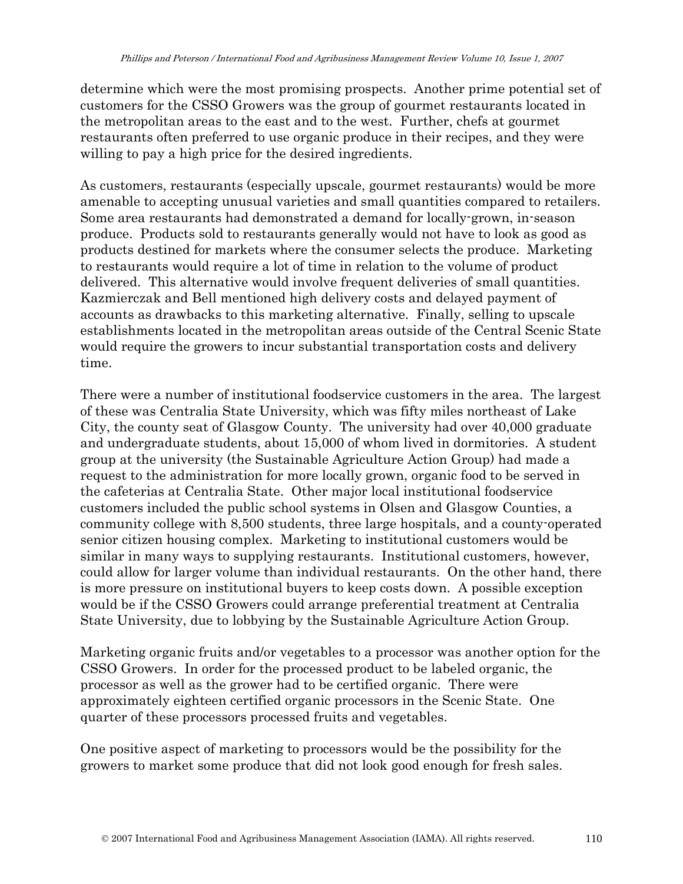determine which were the most promising prospects. Another prime potential set of customers for the CSSO Growers was the group of gourmet restaurants located in the metropolitan areas to the east and to the west. Further, chefs at gourmet restaurants often preferred to use organic produce in their recipes, and they were willing to pay a high price for the desired ingredients.

As customers, restaurants (especially upscale, gourmet restaurants) would be more amenable to accepting unusual varieties and small quantities compared to retailers. Some area restaurants had demonstrated a demand for locally-grown, in-season produce. Products sold to restaurants generally would not have to look as good as products destined for markets where the consumer selects the produce. Marketing to restaurants would require a lot of time in relation to the volume of product delivered. This alternative would involve frequent deliveries of small quantities. Kazmierczak and Bell mentioned high delivery costs and delayed payment of accounts as drawbacks to this marketing alternative. Finally, selling to upscale establishments located in the metropolitan areas outside of the Central Scenic State would require the growers to incur substantial transportation costs and delivery time.

There were a number of institutional foodservice customers in the area. The largest of these was Centralia State University, which was fifty miles northeast of Lake City, the county seat of Glasgow County. The university had over 40,000 graduate and undergraduate students, about 15,000 of whom lived in dormitories. A student group at the university (the Sustainable Agriculture Action Group) had made a request to the administration for more locally grown, organic food to be served in the cafeterias at Centralia State. Other major local institutional foodservice customers included the public school systems in Olsen and Glasgow Counties, a community college with 8,500 students, three large hospitals, and a county-operated senior citizen housing complex. Marketing to institutional customers would be similar in many ways to supplying restaurants. Institutional customers, however, could allow for larger volume than individual restaurants. On the other hand, there is more pressure on institutional buyers to keep costs down. A possible exception would be if the CSSO Growers could arrange preferential treatment at Centralia State University, due to lobbying by the Sustainable Agriculture Action Group.

Marketing organic fruits and/or vegetables to a processor was another option for the CSSO Growers. In order for the processed product to be labeled organic, the processor as well as the grower had to be certified organic. There were approximately eighteen certified organic processors in the Scenic State. One quarter of these processors processed fruits and vegetables.

One positive aspect of marketing to processors would be the possibility for the growers to market some produce that did not look good enough for fresh sales.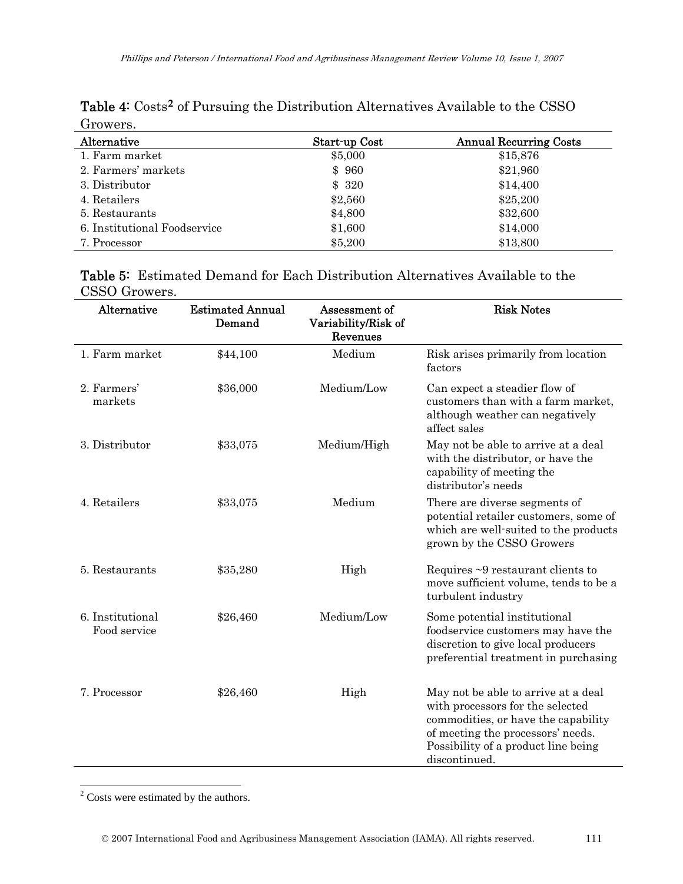| Alternative                  | Start up Cost | <b>Annual Recurring Costs</b> |
|------------------------------|---------------|-------------------------------|
| 1. Farm market               | \$5,000       | \$15,876                      |
| 2. Farmers' markets          | \$960         | \$21,960                      |
| 3. Distributor               | \$320         | \$14,400                      |
| 4. Retailers                 | \$2,560       | \$25,200                      |
| 5. Restaurants               | \$4,800       | \$32,600                      |
| 6. Institutional Foodservice | \$1,600       | \$14,000                      |
| 7. Processor                 | \$5,200       | \$13,800                      |

Table 4: Costs**[2](#page-11-0)** of Pursuing the Distribution Alternatives Available to the CSSO Growers.

|               | <b>Table 5:</b> Estimated Demand for Each Distribution Alternatives Available to the |  |
|---------------|--------------------------------------------------------------------------------------|--|
| CSSO Growers. |                                                                                      |  |

| Alternative                      | <b>Estimated Annual</b><br>Demand | Assessment of<br>Variability/Risk of<br>Revenues | <b>Risk Notes</b>                                                                                                                                                                                           |
|----------------------------------|-----------------------------------|--------------------------------------------------|-------------------------------------------------------------------------------------------------------------------------------------------------------------------------------------------------------------|
| 1. Farm market                   | \$44,100                          | Medium                                           | Risk arises primarily from location<br>factors                                                                                                                                                              |
| 2. Farmers'<br>markets           | \$36,000                          | Medium/Low                                       | Can expect a steadier flow of<br>customers than with a farm market,<br>although weather can negatively<br>affect sales                                                                                      |
| 3. Distributor                   | \$33,075                          | Medium/High                                      | May not be able to arrive at a deal<br>with the distributor, or have the<br>capability of meeting the<br>distributor's needs                                                                                |
| 4. Retailers                     | \$33,075                          | Medium                                           | There are diverse segments of<br>potential retailer customers, some of<br>which are well-suited to the products<br>grown by the CSSO Growers                                                                |
| 5. Restaurants                   | \$35,280                          | High                                             | Requires $\sim$ 9 restaurant clients to<br>move sufficient volume, tends to be a<br>turbulent industry                                                                                                      |
| 6. Institutional<br>Food service | \$26,460                          | Medium/Low                                       | Some potential institutional<br>foodservice customers may have the<br>discretion to give local producers<br>preferential treatment in purchasing                                                            |
| 7. Processor                     | \$26,460                          | High                                             | May not be able to arrive at a deal<br>with processors for the selected<br>commodities, or have the capability<br>of meeting the processors' needs.<br>Possibility of a product line being<br>discontinued. |

<span id="page-11-0"></span><sup>2</sup> Costs were estimated by the authors.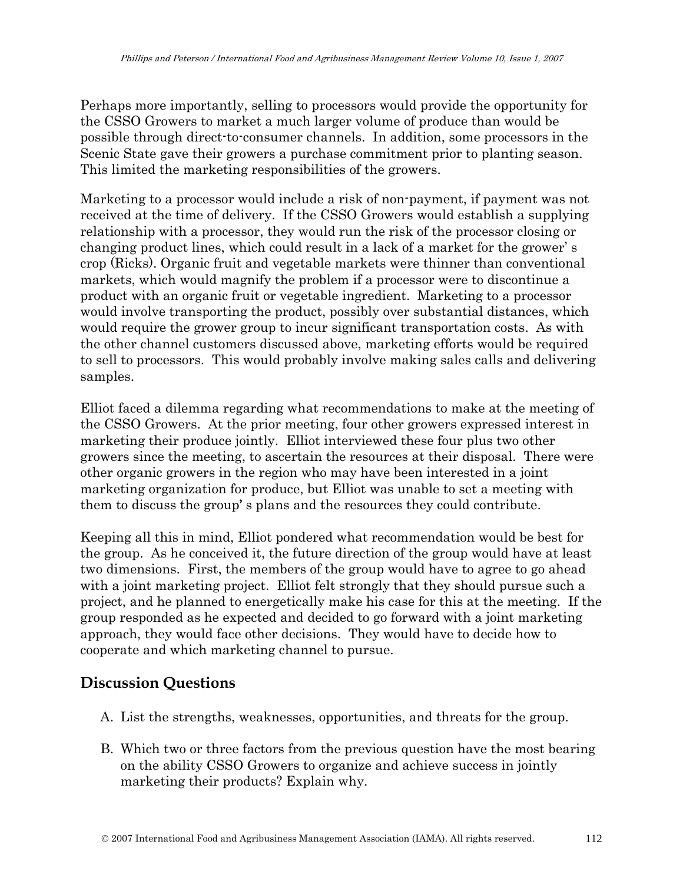Perhaps more importantly, selling to processors would provide the opportunity for the CSSO Growers to market a much larger volume of produce than would be possible through direct-to-consumer channels. In addition, some processors in the Scenic State gave their growers a purchase commitment prior to planting season. This limited the marketing responsibilities of the growers.

Marketing to a processor would include a risk of non-payment, if payment was not received at the time of delivery. If the CSSO Growers would establish a supplying relationship with a processor, they would run the risk of the processor closing or changing product lines, which could result in a lack of a market for the grower' s crop (Ricks). Organic fruit and vegetable markets were thinner than conventional markets, which would magnify the problem if a processor were to discontinue a product with an organic fruit or vegetable ingredient. Marketing to a processor would involve transporting the product, possibly over substantial distances, which would require the grower group to incur significant transportation costs. As with the other channel customers discussed above, marketing efforts would be required to sell to processors. This would probably involve making sales calls and delivering samples.

Elliot faced a dilemma regarding what recommendations to make at the meeting of the CSSO Growers. At the prior meeting, four other growers expressed interest in marketing their produce jointly. Elliot interviewed these four plus two other growers since the meeting, to ascertain the resources at their disposal. There were other organic growers in the region who may have been interested in a joint marketing organization for produce, but Elliot was unable to set a meeting with them to discuss the group' s plans and the resources they could contribute.

Keeping all this in mind, Elliot pondered what recommendation would be best for the group. As he conceived it, the future direction of the group would have at least two dimensions. First, the members of the group would have to agree to go ahead with a joint marketing project. Elliot felt strongly that they should pursue such a project, and he planned to energetically make his case for this at the meeting. If the group responded as he expected and decided to go forward with a joint marketing approach, they would face other decisions. They would have to decide how to cooperate and which marketing channel to pursue.

### **Discussion Questions**

- A. List the strengths, weaknesses, opportunities, and threats for the group.
- B. Which two or three factors from the previous question have the most bearing on the ability CSSO Growers to organize and achieve success in jointly marketing their products? Explain why.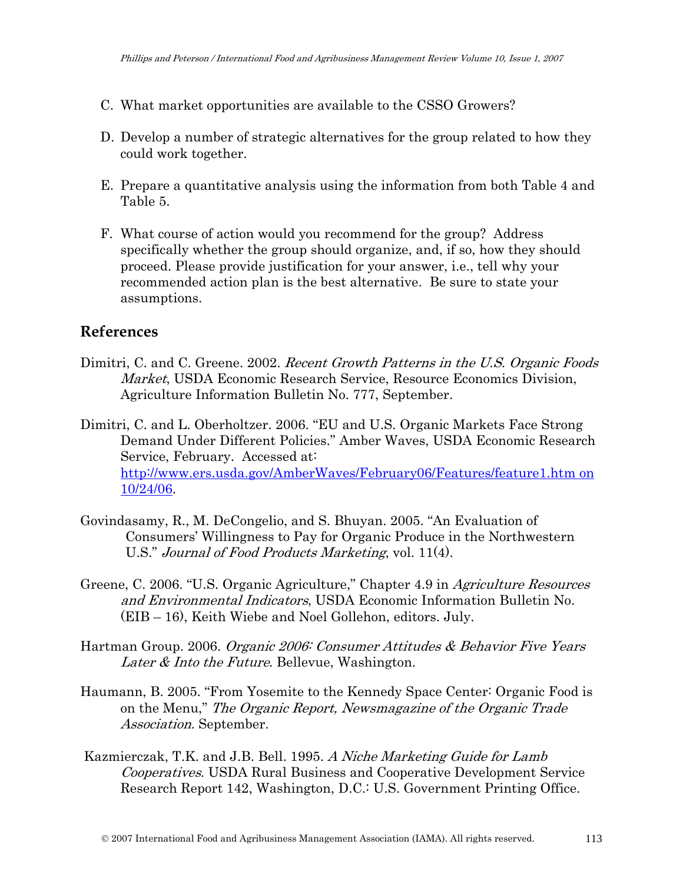- C. What market opportunities are available to the CSSO Growers?
- D. Develop a number of strategic alternatives for the group related to how they could work together.
- E. Prepare a quantitative analysis using the information from both Table 4 and Table 5.
- F. What course of action would you recommend for the group? Address specifically whether the group should organize, and, if so, how they should proceed. Please provide justification for your answer, i.e., tell why your recommended action plan is the best alternative. Be sure to state your assumptions.

#### **References**

- Dimitri, C. and C. Greene. 2002. Recent Growth Patterns in the U.S. Organic Foods Market, USDA Economic Research Service, Resource Economics Division, Agriculture Information Bulletin No. 777, September.
- Dimitri, C. and L. Oberholtzer. 2006. "EU and U.S. Organic Markets Face Strong Demand Under Different Policies." Amber Waves, USDA Economic Research Service, February. Accessed at: [http://www.ers.usda.gov/AmberWaves/February06/Features/feature1.htm on](http://www.ers.usda.gov/AmberWaves/February06/Features/feature1.htm%20on%2010/24/06)  [10/24/06.](http://www.ers.usda.gov/AmberWaves/February06/Features/feature1.htm%20on%2010/24/06)
- Govindasamy, R., M. DeCongelio, and S. Bhuyan. 2005. "An Evaluation of Consumers' Willingness to Pay for Organic Produce in the Northwestern U.S." Journal of Food Products Marketing, vol. 11(4).
- Greene, C. 2006. "U.S. Organic Agriculture," Chapter 4.9 in Agriculture Resources and Environmental Indicators, USDA Economic Information Bulletin No. (EIB – 16), Keith Wiebe and Noel Gollehon, editors. July.
- Hartman Group. 2006. Organic 2006: Consumer Attitudes & Behavior Five Years Later & Into the Future. Bellevue, Washington.
- Haumann, B. 2005. "From Yosemite to the Kennedy Space Center: Organic Food is on the Menu," The Organic Report, Newsmagazine of the Organic Trade Association. September.
- Kazmierczak, T.K. and J.B. Bell. 1995. A Niche Marketing Guide for Lamb Cooperatives. USDA Rural Business and Cooperative Development Service Research Report 142, Washington, D.C.: U.S. Government Printing Office.